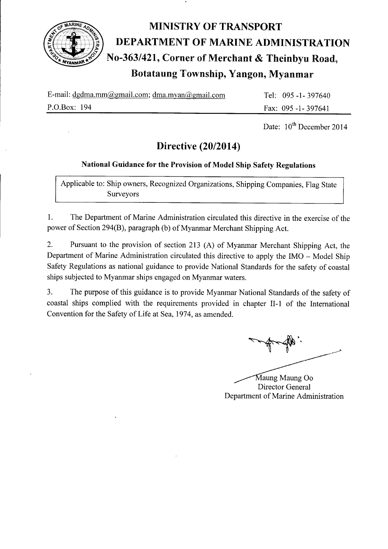

# MINISTRY OF TRANSPORT<br>
France (Contract of Marine ADMI)<br>
No-363/421, Corner of Merchant & The<br>
Botataung Township, Yangon, My DEPARTMENT OF MARINE ADMINISTRATION No-363/421, Corner of Merchant & Theinbyu Road, Botataung Township, Yangon, Myanmar

| E-mail: $d$ gdma.mm@gmail.com; $d$ ma.myan@gmail.com | Tel: 095 -1 - 397640 |
|------------------------------------------------------|----------------------|
| P.O.Box: 194                                         | Fax: 095 -1 - 397641 |

Date:  $10^{th}$  December 2014

# Directive (20/2014)

# National Guidance for the Provision of Model Ship Safety Regulations

Applicable to: Ship owners, Recognized Organizations, Shipping Companies, Flag State Surveyors

1. The Department of Marine Administration circulated this directive in the exercise of the power of Section 294(8), paragraph (b) of Myanmar Merchant Shipping Act.

2. Pursuant to the provision of section 213 (A) of Myanmar Merchant Shipping Act, the Department of Marine Administration circulated this directive to apply the IMO - Model Ship Safety Regulations as national guidance to provide National Standards for the safety of coastal ships subjected to Myanmar ships engaged on Myanmar waters.

3. The purpose of this guidance is to provide Myanmar National Standards of the safety of coastal ships complied with the requirements provided in chapter II-1 of the International Convention for the Safety of Life at Sea. 1974. as amended.

Department of Marine Administration Maung Maung Oo Director General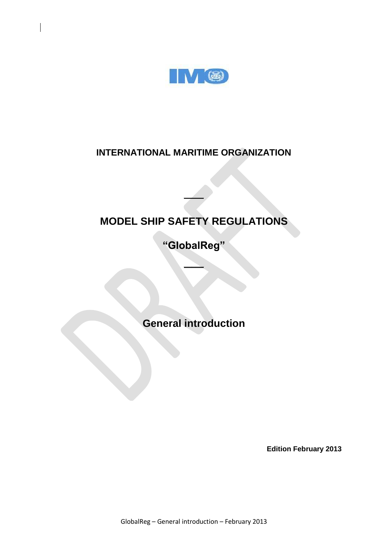

# **INTERNATIONAL MARITIME ORGANIZATION**

# **MODEL SHIP SAFETY REGULATIONS**

**\_\_\_\_\_**

**"GlobalReg"**

**\_\_\_\_\_**

**General introduction**

**Edition February 2013**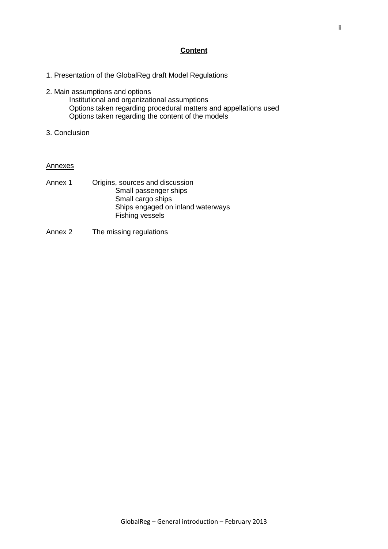# **Content**

- 1. Presentation of the GlobalReg draft Model Regulations
- 2. Main assumptions and options
	- Institutional and organizational assumptions Options taken regarding procedural matters and appellations used Options taken regarding the content of the models
- 3. Conclusion

#### Annexes

- Annex 1 Origins, sources and discussion Small passenger ships Small cargo ships Ships engaged on inland waterways Fishing vessels
- Annex 2 The missing regulations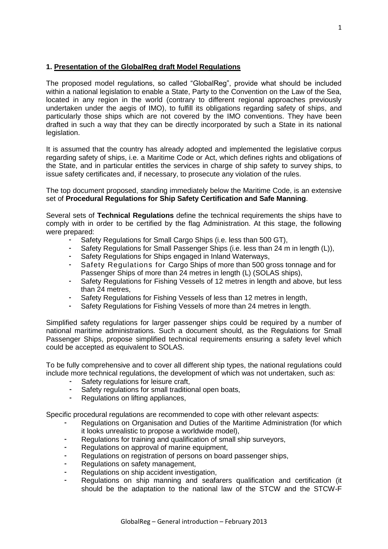# **1. Presentation of the GlobalReg draft Model Regulations**

The proposed model regulations, so called "GlobalReg", provide what should be included within a national legislation to enable a State, Party to the Convention on the Law of the Sea, located in any region in the world (contrary to different regional approaches previously undertaken under the aegis of IMO), to fulfill its obligations regarding safety of ships, and particularly those ships which are not covered by the IMO conventions. They have been drafted in such a way that they can be directly incorporated by such a State in its national legislation.

It is assumed that the country has already adopted and implemented the legislative corpus regarding safety of ships, i.e. a Maritime Code or Act, which defines rights and obligations of the State, and in particular entitles the services in charge of ship safety to survey ships, to issue safety certificates and, if necessary, to prosecute any violation of the rules.

The top document proposed, standing immediately below the Maritime Code, is an extensive set of **Procedural Regulations for Ship Safety Certification and Safe Manning**.

Several sets of **Technical Regulations** define the technical requirements the ships have to comply with in order to be certified by the flag Administration. At this stage, the following were prepared:

- Safety Regulations for Small Cargo Ships (i.e. less than 500 GT).
- Safety Regulations for Small Passenger Ships (i.e. less than 24 m in length (L)),
- Safety Regulations for Ships engaged in Inland Waterways,
- Safety Regulations for Cargo Ships of more than 500 gross tonnage and for Passenger Ships of more than 24 metres in length (L) (SOLAS ships),
- Safety Regulations for Fishing Vessels of 12 metres in length and above, but less than 24 metres,
- Safety Regulations for Fishing Vessels of less than 12 metres in length,
- Safety Regulations for Fishing Vessels of more than 24 metres in length.

Simplified safety regulations for larger passenger ships could be required by a number of national maritime administrations. Such a document should, as the Regulations for Small Passenger Ships, propose simplified technical requirements ensuring a safety level which could be accepted as equivalent to SOLAS.

To be fully comprehensive and to cover all different ship types, the national regulations could include more technical regulations, the development of which was not undertaken, such as:

- Safety regulations for leisure craft,
- Safety regulations for small traditional open boats.
- Regulations on lifting appliances,

Specific procedural regulations are recommended to cope with other relevant aspects:

- Regulations on Organisation and Duties of the Maritime Administration (for which it looks unrealistic to propose a worldwide model),
- Regulations for training and qualification of small ship surveyors,
- Regulations on approval of marine equipment,
- Regulations on registration of persons on board passenger ships,
- Regulations on safety management.
- Regulations on ship accident investigation,
- Regulations on ship manning and seafarers qualification and certification (it should be the adaptation to the national law of the STCW and the STCW-F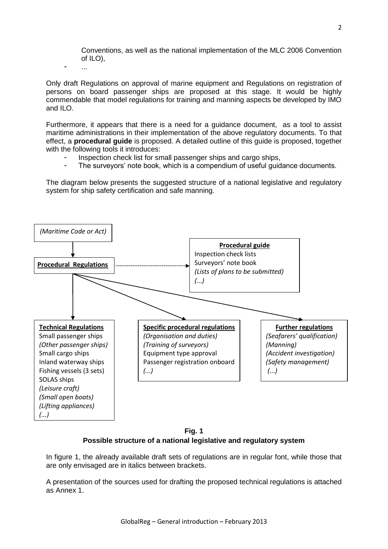Conventions, as well as the national implementation of the MLC 2006 Convention of ILO),

Only draft Regulations on approval of marine equipment and Regulations on registration of persons on board passenger ships are proposed at this stage. It would be highly commendable that model regulations for training and manning aspects be developed by IMO and ILO.

Furthermore, it appears that there is a need for a guidance document, as a tool to assist maritime administrations in their implementation of the above regulatory documents. To that effect, a **procedural guide** is proposed. A detailed outline of this guide is proposed, together with the following tools it introduces:

Inspection check list for small passenger ships and cargo ships,

- ...

The surveyors' note book, which is a compendium of useful guidance documents.

The diagram below presents the suggested structure of a national legislative and regulatory system for ship safety certification and safe manning.



**Fig. 1 Possible structure of a national legislative and regulatory system**

In figure 1, the already available draft sets of regulations are in regular font, while those that are only envisaged are in italics between brackets.

A presentation of the sources used for drafting the proposed technical regulations is attached as Annex 1.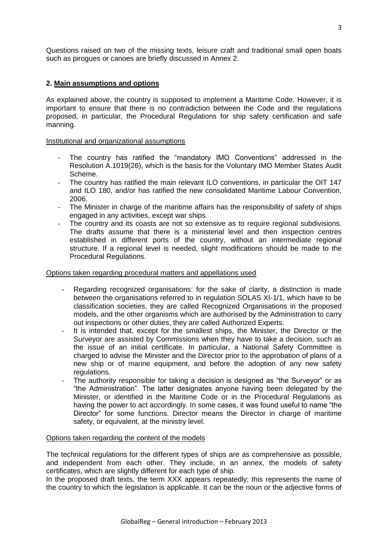Questions raised on two of the missing texts, leisure craft and traditional small open boats such as pirogues or canoes are briefly discussed in Annex 2.

# **2. Main assumptions and options**

As explained above, the country is supposed to implement a Maritime Code. However, it is important to ensure that there is no contradiction between the Code and the regulations proposed, in particular, the Procedural Regulations for ship safety certification and safe manning.

# Institutional and organizational assumptions

- The country has ratified the "mandatory IMO Conventions" addressed in the Resolution A.1019(26), which is the basis for the Voluntary IMO Member States Audit Scheme.
- The country has ratified the main relevant ILO conventions, in particular the OIT 147 and ILO 180, and/or has ratified the new consolidated Maritime Labour Convention, 2006.
- The Minister in charge of the maritime affairs has the responsibility of safety of ships engaged in any activities, except war ships.
- The country and its coasts are not so extensive as to require regional subdivisions. The drafts assume that there is a ministerial level and then inspection centres established in different ports of the country, without an intermediate regional structure. If a regional level is needed, slight modifications should be made to the Procedural Regulations.

# Options taken regarding procedural matters and appellations used

- Regarding recognized organisations: for the sake of clarity, a distinction is made between the organisations referred to in regulation SOLAS XI-1/1, which have to be classification societies, they are called Recognized Organisations in the proposed models, and the other organisms which are authorised by the Administration to carry out inspections or other duties, they are called Authorized Experts.
- It is intended that, except for the smallest ships, the Minister, the Director or the Surveyor are assisted by Commissions when they have to take a decision, such as the issue of an initial certificate. In particular, a National Safety Committee is charged to advise the Minister and the Director prior to the approbation of plans of a new ship or of marine equipment, and before the adoption of any new safety regulations.
- The authority responsible for taking a decision is designed as "the Surveyor" or as "the Administration". The latter designates anyone having been delegated by the Minister, or identified in the Maritime Code or in the Procedural Regulations as having the power to act accordingly. In some cases, it was found useful to name "the Director" for some functions. Director means the Director in charge of maritime safety, or equivalent, at the ministry level.

### Options taken regarding the content of the models

The technical regulations for the different types of ships are as comprehensive as possible, and independent from each other. They include, in an annex, the models of safety certificates, which are slightly different for each type of ship.

In the proposed draft texts, the term XXX appears repeatedly; this represents the name of the country to which the legislation is applicable. It can be the noun or the adjective forms of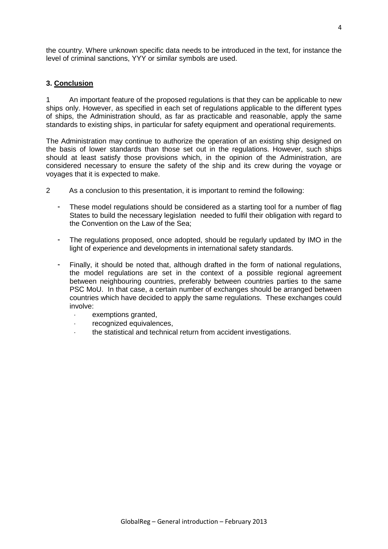the country. Where unknown specific data needs to be introduced in the text, for instance the level of criminal sanctions, YYY or similar symbols are used.

# **3. Conclusion**

1 An important feature of the proposed regulations is that they can be applicable to new ships only. However, as specified in each set of regulations applicable to the different types of ships, the Administration should, as far as practicable and reasonable, apply the same standards to existing ships, in particular for safety equipment and operational requirements.

The Administration may continue to authorize the operation of an existing ship designed on the basis of lower standards than those set out in the regulations. However, such ships should at least satisfy those provisions which, in the opinion of the Administration, are considered necessary to ensure the safety of the ship and its crew during the voyage or voyages that it is expected to make.

- 2 As a conclusion to this presentation, it is important to remind the following:
	- These model regulations should be considered as a starting tool for a number of flag States to build the necessary legislation needed to fulfil their obligation with regard to the Convention on the Law of the Sea;
	- The regulations proposed, once adopted, should be regularly updated by IMO in the light of experience and developments in international safety standards.
	- Finally, it should be noted that, although drafted in the form of national regulations, the model regulations are set in the context of a possible regional agreement between neighbouring countries, preferably between countries parties to the same PSC MoU. In that case, a certain number of exchanges should be arranged between countries which have decided to apply the same regulations. These exchanges could involve:
		- exemptions granted,
		- recognized equivalences,
		- the statistical and technical return from accident investigations.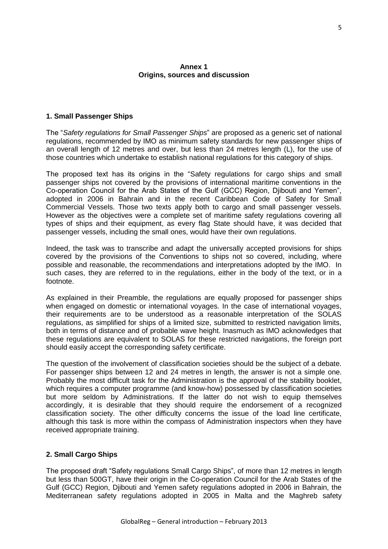# **Annex 1 Origins, sources and discussion**

# **1. Small Passenger Ships**

The "*Safety regulations for Small Passenger Ships*" are proposed as a generic set of national regulations, recommended by IMO as minimum safety standards for new passenger ships of an overall length of 12 metres and over, but less than 24 metres length (L), for the use of those countries which undertake to establish national regulations for this category of ships.

The proposed text has its origins in the "Safety regulations for cargo ships and small passenger ships not covered by the provisions of international maritime conventions in the Co-operation Council for the Arab States of the Gulf (GCC) Region, Djibouti and Yemen", adopted in 2006 in Bahrain and in the recent Caribbean Code of Safety for Small Commercial Vessels. Those two texts apply both to cargo and small passenger vessels. However as the objectives were a complete set of maritime safety regulations covering all types of ships and their equipment, as every flag State should have, it was decided that passenger vessels, including the small ones, would have their own regulations.

Indeed, the task was to transcribe and adapt the universally accepted provisions for ships covered by the provisions of the Conventions to ships not so covered, including, where possible and reasonable, the recommendations and interpretations adopted by the IMO. In such cases, they are referred to in the regulations, either in the body of the text, or in a footnote.

As explained in their Preamble, the regulations are equally proposed for passenger ships when engaged on domestic or international voyages. In the case of international voyages, their requirements are to be understood as a reasonable interpretation of the SOLAS regulations, as simplified for ships of a limited size, submitted to restricted navigation limits, both in terms of distance and of probable wave height. Inasmuch as IMO acknowledges that these regulations are equivalent to SOLAS for these restricted navigations, the foreign port should easily accept the corresponding safety certificate.

The question of the involvement of classification societies should be the subject of a debate. For passenger ships between 12 and 24 metres in length, the answer is not a simple one. Probably the most difficult task for the Administration is the approval of the stability booklet, which requires a computer programme (and know-how) possessed by classification societies but more seldom by Administrations. If the latter do not wish to equip themselves accordingly, it is desirable that they should require the endorsement of a recognized classification society. The other difficulty concerns the issue of the load line certificate, although this task is more within the compass of Administration inspectors when they have received appropriate training.

### **2. Small Cargo Ships**

The proposed draft "Safety regulations Small Cargo Ships", of more than 12 metres in length but less than 500GT, have their origin in the Co-operation Council for the Arab States of the Gulf (GCC) Region, Djibouti and Yemen safety regulations adopted in 2006 in Bahrain, the Mediterranean safety regulations adopted in 2005 in Malta and the Maghreb safety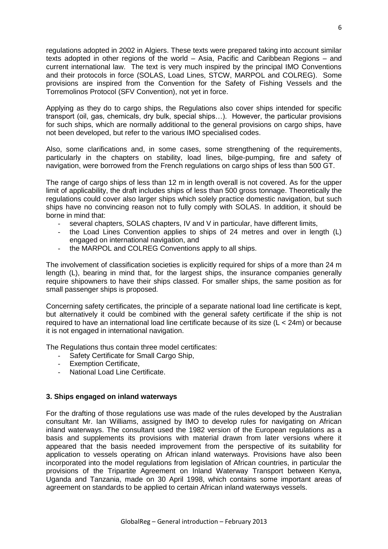regulations adopted in 2002 in Algiers. These texts were prepared taking into account similar texts adopted in other regions of the world – Asia, Pacific and Caribbean Regions – and current international law. The text is very much inspired by the principal IMO Conventions and their protocols in force (SOLAS, Load Lines, STCW, MARPOL and COLREG). Some provisions are inspired from the Convention for the Safety of Fishing Vessels and the Torremolinos Protocol (SFV Convention), not yet in force.

Applying as they do to cargo ships, the Regulations also cover ships intended for specific transport (oil, gas, chemicals, dry bulk, special ships…). However, the particular provisions for such ships, which are normally additional to the general provisions on cargo ships, have not been developed, but refer to the various IMO specialised codes.

Also, some clarifications and, in some cases, some strengthening of the requirements, particularly in the chapters on stability, load lines, bilge-pumping, fire and safety of navigation, were borrowed from the French regulations on cargo ships of less than 500 GT.

The range of cargo ships of less than 12 m in length overall is not covered. As for the upper limit of applicability, the draft includes ships of less than 500 gross tonnage. Theoretically the regulations could cover also larger ships which solely practice domestic navigation, but such ships have no convincing reason not to fully comply with SOLAS. In addition, it should be borne in mind that:

- several chapters, SOLAS chapters, IV and V in particular, have different limits,
- the Load Lines Convention applies to ships of 24 metres and over in length  $(L)$ engaged on international navigation, and
- the MARPOL and COLREG Conventions apply to all ships.

The involvement of classification societies is explicitly required for ships of a more than 24 m length (L), bearing in mind that, for the largest ships, the insurance companies generally require shipowners to have their ships classed. For smaller ships, the same position as for small passenger ships is proposed.

Concerning safety certificates, the principle of a separate national load line certificate is kept, but alternatively it could be combined with the general safety certificate if the ship is not required to have an international load line certificate because of its size (L < 24m) or because it is not engaged in international navigation.

The Regulations thus contain three model certificates:

- Safety Certificate for Small Cargo Ship,
- **Exemption Certificate.**
- National Load Line Certificate.

### **3. Ships engaged on inland waterways**

For the drafting of those regulations use was made of the rules developed by the Australian consultant Mr. Ian Williams, assigned by IMO to develop rules for navigating on African inland waterways. The consultant used the 1982 version of the European regulations as a basis and supplements its provisions with material drawn from later versions where it appeared that the basis needed improvement from the perspective of its suitability for application to vessels operating on African inland waterways. Provisions have also been incorporated into the model regulations from legislation of African countries, in particular the provisions of the Tripartite Agreement on Inland Waterway Transport between Kenya, Uganda and Tanzania, made on 30 April 1998, which contains some important areas of agreement on standards to be applied to certain African inland waterways vessels.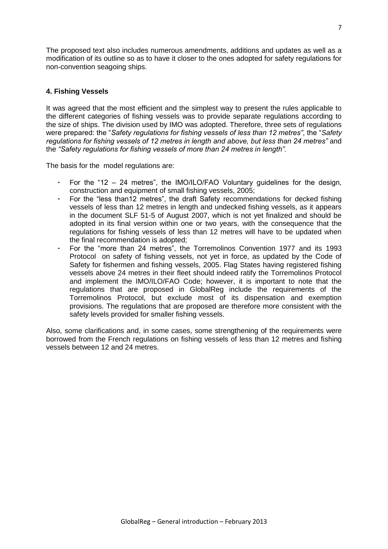The proposed text also includes numerous amendments, additions and updates as well as a modification of its outline so as to have it closer to the ones adopted for safety regulations for non-convention seagoing ships.

# **4. Fishing Vessels**

It was agreed that the most efficient and the simplest way to present the rules applicable to the different categories of fishing vessels was to provide separate regulations according to the size of ships. The division used by IMO was adopted. Therefore, three sets of regulations were prepared: the "*Safety regulations for fishing vessels of less than 12 metres"*, the "*Safety regulations for fishing vessels of 12 metres in length and above, but less than 24 metres"* and the *"Safety regulations for fishing vessels of more than 24 metres in length".*

The basis for the model regulations are:

- For the "12 24 metres", the IMO/ILO/FAO Voluntary guidelines for the design, construction and equipment of small fishing vessels, 2005;
- For the "less than12 metres", the draft Safety recommendations for decked fishing vessels of less than 12 metres in length and undecked fishing vessels, as it appears in the document SLF 51-5 of August 2007, which is not yet finalized and should be adopted in its final version within one or two years, with the consequence that the regulations for fishing vessels of less than 12 metres will have to be updated when the final recommendation is adopted;
- For the "more than 24 metres", the Torremolinos Convention 1977 and its 1993 Protocol on safety of fishing vessels, not yet in force, as updated by the Code of Safety for fishermen and fishing vessels, 2005. Flag States having registered fishing vessels above 24 metres in their fleet should indeed ratify the Torremolinos Protocol and implement the IMO/ILO/FAO Code; however, it is important to note that the regulations that are proposed in GlobalReg include the requirements of the Torremolinos Protocol, but exclude most of its dispensation and exemption provisions. The regulations that are proposed are therefore more consistent with the safety levels provided for smaller fishing vessels.

Also, some clarifications and, in some cases, some strengthening of the requirements were borrowed from the French regulations on fishing vessels of less than 12 metres and fishing vessels between 12 and 24 metres.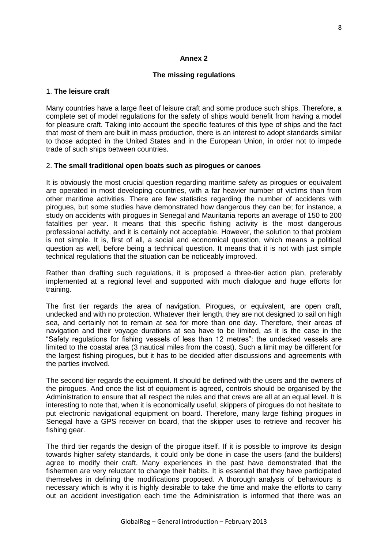# **Annex 2**

# **The missing regulations**

### 1. **The leisure craft**

Many countries have a large fleet of leisure craft and some produce such ships. Therefore, a complete set of model regulations for the safety of ships would benefit from having a model for pleasure craft. Taking into account the specific features of this type of ships and the fact that most of them are built in mass production, there is an interest to adopt standards similar to those adopted in the United States and in the European Union, in order not to impede trade of such ships between countries.

### 2. **The small traditional open boats such as pirogues or canoes**

It is obviously the most crucial question regarding maritime safety as pirogues or equivalent are operated in most developing countries, with a far heavier number of victims than from other maritime activities. There are few statistics regarding the number of accidents with pirogues, but some studies have demonstrated how dangerous they can be; for instance, a study on accidents with pirogues in Senegal and Mauritania reports an average of 150 to 200 fatalities per year. It means that this specific fishing activity is the most dangerous professional activity, and it is certainly not acceptable. However, the solution to that problem is not simple. It is, first of all, a social and economical question, which means a political question as well, before being a technical question. It means that it is not with just simple technical regulations that the situation can be noticeably improved.

Rather than drafting such regulations, it is proposed a three-tier action plan, preferably implemented at a regional level and supported with much dialogue and huge efforts for training.

The first tier regards the area of navigation. Pirogues, or equivalent, are open craft, undecked and with no protection. Whatever their length, they are not designed to sail on high sea, and certainly not to remain at sea for more than one day. Therefore, their areas of navigation and their voyage durations at sea have to be limited, as it is the case in the "Safety regulations for fishing vessels of less than 12 metres": the undecked vessels are limited to the coastal area (3 nautical miles from the coast). Such a limit may be different for the largest fishing pirogues, but it has to be decided after discussions and agreements with the parties involved.

The second tier regards the equipment. It should be defined with the users and the owners of the pirogues. And once the list of equipment is agreed, controls should be organised by the Administration to ensure that all respect the rules and that crews are all at an equal level. It is interesting to note that, when it is economically useful, skippers of pirogues do not hesitate to put electronic navigational equipment on board. Therefore, many large fishing pirogues in Senegal have a GPS receiver on board, that the skipper uses to retrieve and recover his fishing gear.

The third tier regards the design of the pirogue itself. If it is possible to improve its design towards higher safety standards, it could only be done in case the users (and the builders) agree to modify their craft. Many experiences in the past have demonstrated that the fishermen are very reluctant to change their habits. It is essential that they have participated themselves in defining the modifications proposed. A thorough analysis of behaviours is necessary which is why it is highly desirable to take the time and make the efforts to carry out an accident investigation each time the Administration is informed that there was an